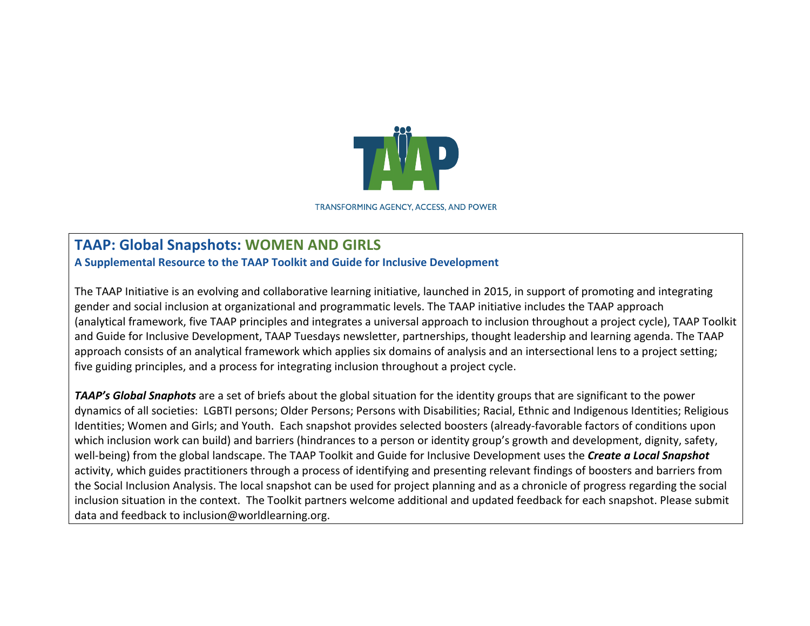

**TRANSFORMING AGENCY, ACCESS, AND POWER** 

## **TAAP: Global Snapshots: WOMEN AND GIRLS**

**A Supplemental Resource to the TAAP Toolkit and Guide for Inclusive Development**

The TAAP Initiative is an evolving and collaborative learning initiative, launched in 2015, in support of promoting and integrating gender and social inclusion at organizational and programmatic levels. The TAAP initiative includes the TAAP approach (analytical framework, five TAAP principles and integrates a universal approach to inclusion throughout a project cycle), TAAP Toolkit and Guide for Inclusive Development, TAAP Tuesdays newsletter, partnerships, thought leadership and learning agenda. The TAAP approach consists of an analytical framework which applies six domains of analysis and an intersectional lens to a project setting; five guiding principles, and a process for integrating inclusion throughout a project cycle.

**TAAP's Global Snaphots** are a set of briefs about the global situation for the identity groups that are significant to the power dynamics of all societies: LGBTI persons; Older Persons; Persons with Disabilities; Racial, Ethnic and Indigenous Identities; Religious Identities; Women and Girls; and Youth. Each snapshot provides selected boosters (already-favorable factors of conditions upon which inclusion work can build) and barriers (hindrances to a person or identity group's growth and development, dignity, safety, well-being) from the global landscape. The TAAP Toolkit and Guide for Inclusive Development uses the **Create a Local Snapshot** activity, which guides practitioners through a process of identifying and presenting relevant findings of boosters and barriers from the Social Inclusion Analysis. The local snapshot can be used for project planning and as a chronicle of progress regarding the social inclusion situation in the context. The Toolkit partners welcome additional and updated feedback for each snapshot. Please submit data and feedback to inclusion@worldlearning.org.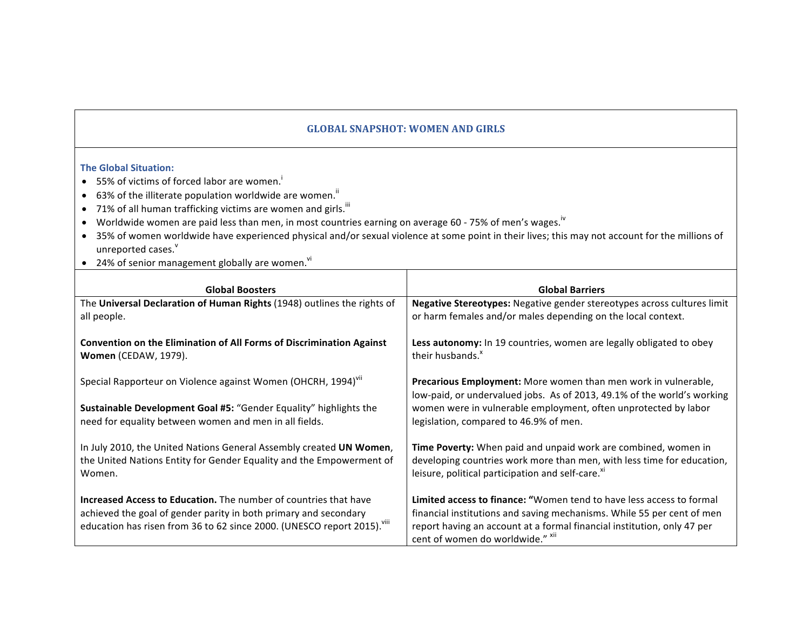## **GLOBAL SNAPSHOT: WOMEN AND GIRLS**

## **The Global Situation:**

- $\bullet$  55% of victims of forced labor are women.
- 63% of the illiterate population worldwide are women.<sup>ii</sup>
- 71% of all human trafficking victims are women and girls.  $^{\text{iii}}$
- Worldwide women are paid less than men, in most countries earning on average 60 75% of men's wages.<sup>iv</sup>
- 35% of women worldwide have experienced physical and/or sexual violence at some point in their lives; this may not account for the millions of unreported cases.<sup>v</sup>
- 24% of senior management globally are women.<sup>vi</sup>

| <b>Global Boosters</b>                                                                                     | <b>Global Barriers</b>                                                                                                                           |
|------------------------------------------------------------------------------------------------------------|--------------------------------------------------------------------------------------------------------------------------------------------------|
| The Universal Declaration of Human Rights (1948) outlines the rights of                                    | Negative Stereotypes: Negative gender stereotypes across cultures limit                                                                          |
| all people.                                                                                                | or harm females and/or males depending on the local context.                                                                                     |
| <b>Convention on the Elimination of All Forms of Discrimination Against</b><br><b>Women</b> (CEDAW, 1979). | Less autonomy: In 19 countries, women are legally obligated to obey<br>their husbands. <sup>x</sup>                                              |
| Special Rapporteur on Violence against Women (OHCRH, 1994) <sup>VII</sup>                                  | <b>Precarious Employment:</b> More women than men work in vulnerable,<br>low-paid, or undervalued jobs. As of 2013, 49.1% of the world's working |
| Sustainable Development Goal #5: "Gender Equality" highlights the                                          | women were in vulnerable employment, often unprotected by labor                                                                                  |
| need for equality between women and men in all fields.                                                     | legislation, compared to 46.9% of men.                                                                                                           |
| In July 2010, the United Nations General Assembly created UN Women,                                        | Time Poverty: When paid and unpaid work are combined, women in                                                                                   |
| the United Nations Entity for Gender Equality and the Empowerment of                                       | developing countries work more than men, with less time for education,                                                                           |
| Women.                                                                                                     | leisure, political participation and self-care. <sup>xi</sup>                                                                                    |
| <b>Increased Access to Education.</b> The number of countries that have                                    | Limited access to finance: "Women tend to have less access to formal                                                                             |
| achieved the goal of gender parity in both primary and secondary                                           | financial institutions and saving mechanisms. While 55 per cent of men                                                                           |
| education has risen from 36 to 62 since 2000. (UNESCO report 2015). <sup>Viii</sup>                        | report having an account at a formal financial institution, only 47 per                                                                          |
|                                                                                                            | cent of women do worldwide." XII                                                                                                                 |